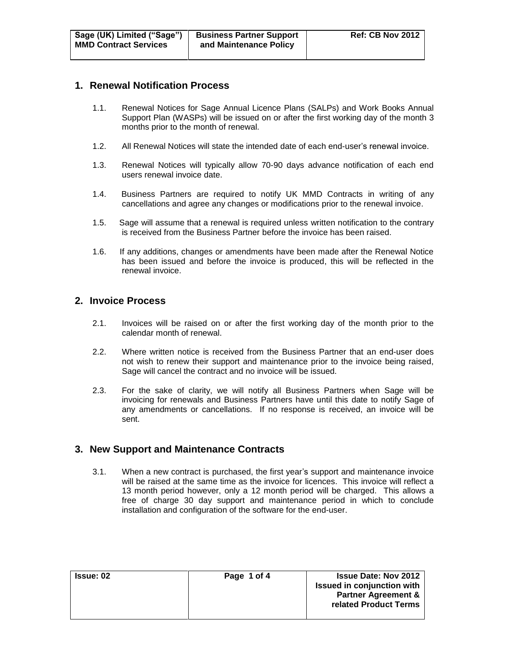#### **1. Renewal Notification Process**

- 1.1. Renewal Notices for Sage Annual Licence Plans (SALPs) and Work Books Annual Support Plan (WASPs) will be issued on or after the first working day of the month 3 months prior to the month of renewal.
- 1.2. All Renewal Notices will state the intended date of each end-user's renewal invoice.
- 1.3. Renewal Notices will typically allow 70-90 days advance notification of each end users renewal invoice date.
- 1.4. Business Partners are required to notify UK MMD Contracts in writing of any cancellations and agree any changes or modifications prior to the renewal invoice.
- 1.5. Sage will assume that a renewal is required unless written notification to the contrary is received from the Business Partner before the invoice has been raised.
- 1.6. If any additions, changes or amendments have been made after the Renewal Notice has been issued and before the invoice is produced, this will be reflected in the renewal invoice.

## **2. Invoice Process**

- 2.1. Invoices will be raised on or after the first working day of the month prior to the calendar month of renewal.
- 2.2. Where written notice is received from the Business Partner that an end-user does not wish to renew their support and maintenance prior to the invoice being raised, Sage will cancel the contract and no invoice will be issued.
- 2.3. For the sake of clarity, we will notify all Business Partners when Sage will be invoicing for renewals and Business Partners have until this date to notify Sage of any amendments or cancellations. If no response is received, an invoice will be sent.

# **3. New Support and Maintenance Contracts**

3.1. When a new contract is purchased, the first year's support and maintenance invoice will be raised at the same time as the invoice for licences. This invoice will reflect a 13 month period however, only a 12 month period will be charged. This allows a free of charge 30 day support and maintenance period in which to conclude installation and configuration of the software for the end-user.

| <b>Issue: 02</b> | Page 1 of 4 | <b>Issue Date: Nov 2012</b>       |
|------------------|-------------|-----------------------------------|
|                  |             | <b>Issued in conjunction with</b> |
|                  |             | <b>Partner Agreement &amp;</b>    |
|                  |             | related Product Terms             |
|                  |             |                                   |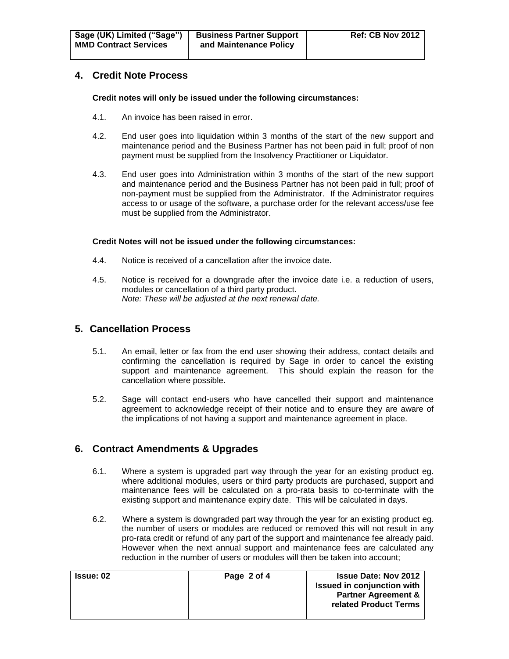# **4. Credit Note Process**

**Credit notes will only be issued under the following circumstances:**

- 4.1. An invoice has been raised in error.
- 4.2. End user goes into liquidation within 3 months of the start of the new support and maintenance period and the Business Partner has not been paid in full; proof of non payment must be supplied from the Insolvency Practitioner or Liquidator.
- 4.3. End user goes into Administration within 3 months of the start of the new support and maintenance period and the Business Partner has not been paid in full; proof of non-payment must be supplied from the Administrator. If the Administrator requires access to or usage of the software, a purchase order for the relevant access/use fee must be supplied from the Administrator.

#### **Credit Notes will not be issued under the following circumstances:**

- 4.4. Notice is received of a cancellation after the invoice date.
- 4.5. Notice is received for a downgrade after the invoice date i.e. a reduction of users, modules or cancellation of a third party product. *Note: These will be adjusted at the next renewal date.*

# **5. Cancellation Process**

- 5.1. An email, letter or fax from the end user showing their address, contact details and confirming the cancellation is required by Sage in order to cancel the existing support and maintenance agreement. This should explain the reason for the cancellation where possible.
- 5.2. Sage will contact end-users who have cancelled their support and maintenance agreement to acknowledge receipt of their notice and to ensure they are aware of the implications of not having a support and maintenance agreement in place.

# **6. Contract Amendments & Upgrades**

- 6.1. Where a system is upgraded part way through the year for an existing product eg. where additional modules, users or third party products are purchased, support and maintenance fees will be calculated on a pro-rata basis to co-terminate with the existing support and maintenance expiry date. This will be calculated in days.
- 6.2. Where a system is downgraded part way through the year for an existing product eg. the number of users or modules are reduced or removed this will not result in any pro-rata credit or refund of any part of the support and maintenance fee already paid. However when the next annual support and maintenance fees are calculated any reduction in the number of users or modules will then be taken into account;

| <b>Issue: 02</b> | Page 2 of 4 | <b>Issue Date: Nov 2012</b><br><b>Issued in conjunction with</b><br><b>Partner Agreement &amp;</b><br>related Product Terms |
|------------------|-------------|-----------------------------------------------------------------------------------------------------------------------------|
|                  |             |                                                                                                                             |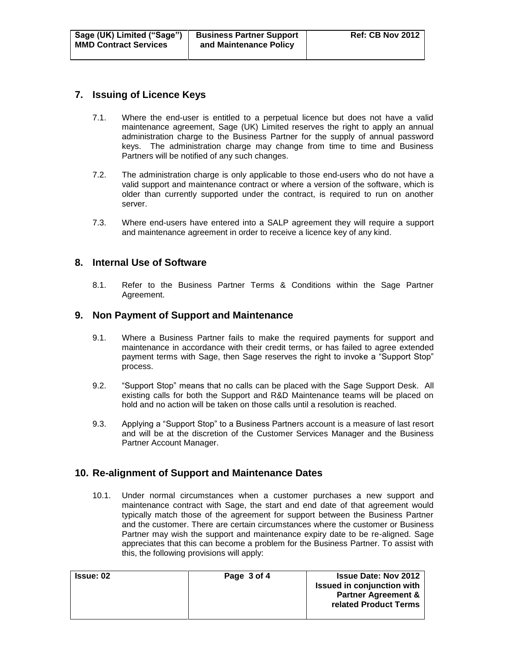# **7. Issuing of Licence Keys**

- 7.1. Where the end-user is entitled to a perpetual licence but does not have a valid maintenance agreement, Sage (UK) Limited reserves the right to apply an annual administration charge to the Business Partner for the supply of annual password keys. The administration charge may change from time to time and Business Partners will be notified of any such changes.
- 7.2. The administration charge is only applicable to those end-users who do not have a valid support and maintenance contract or where a version of the software, which is older than currently supported under the contract, is required to run on another server.
- 7.3. Where end-users have entered into a SALP agreement they will require a support and maintenance agreement in order to receive a licence key of any kind.

## **8. Internal Use of Software**

8.1. Refer to the Business Partner Terms & Conditions within the Sage Partner Agreement.

## **9. Non Payment of Support and Maintenance**

- 9.1. Where a Business Partner fails to make the required payments for support and maintenance in accordance with their credit terms, or has failed to agree extended payment terms with Sage, then Sage reserves the right to invoke a "Support Stop" process.
- 9.2. "Support Stop" means that no calls can be placed with the Sage Support Desk. All existing calls for both the Support and R&D Maintenance teams will be placed on hold and no action will be taken on those calls until a resolution is reached.
- 9.3. Applying a "Support Stop" to a Business Partners account is a measure of last resort and will be at the discretion of the Customer Services Manager and the Business Partner Account Manager.

# **10. Re-alignment of Support and Maintenance Dates**

10.1. Under normal circumstances when a customer purchases a new support and maintenance contract with Sage, the start and end date of that agreement would typically match those of the agreement for support between the Business Partner and the customer. There are certain circumstances where the customer or Business Partner may wish the support and maintenance expiry date to be re-aligned. Sage appreciates that this can become a problem for the Business Partner. To assist with this, the following provisions will apply:

| <b>Issue: 02</b> | Page 3 of 4 | <b>Issue Date: Nov 2012</b><br><b>Issued in conjunction with</b><br><b>Partner Agreement &amp;</b> |
|------------------|-------------|----------------------------------------------------------------------------------------------------|
|                  |             | related Product Terms                                                                              |